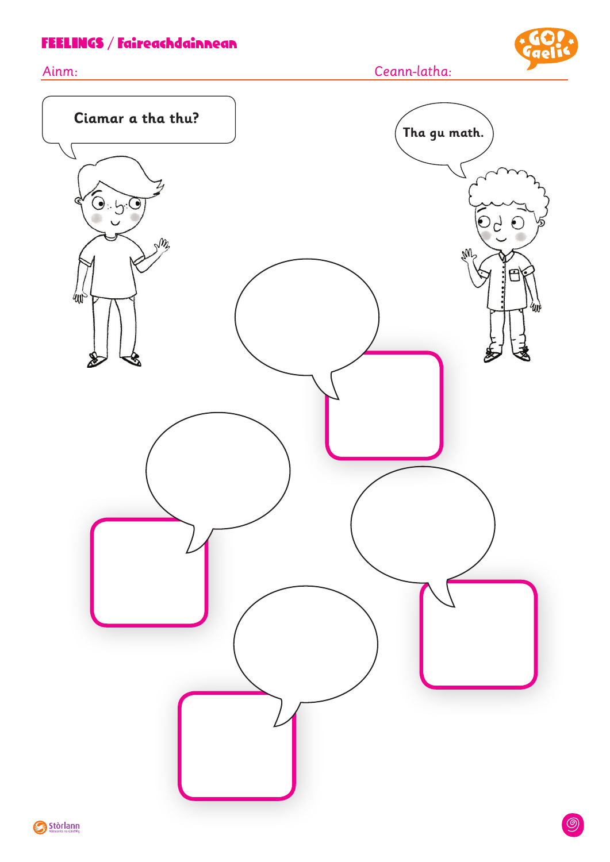### FEELINGS / Faireachdainnean





Ceann-latha:

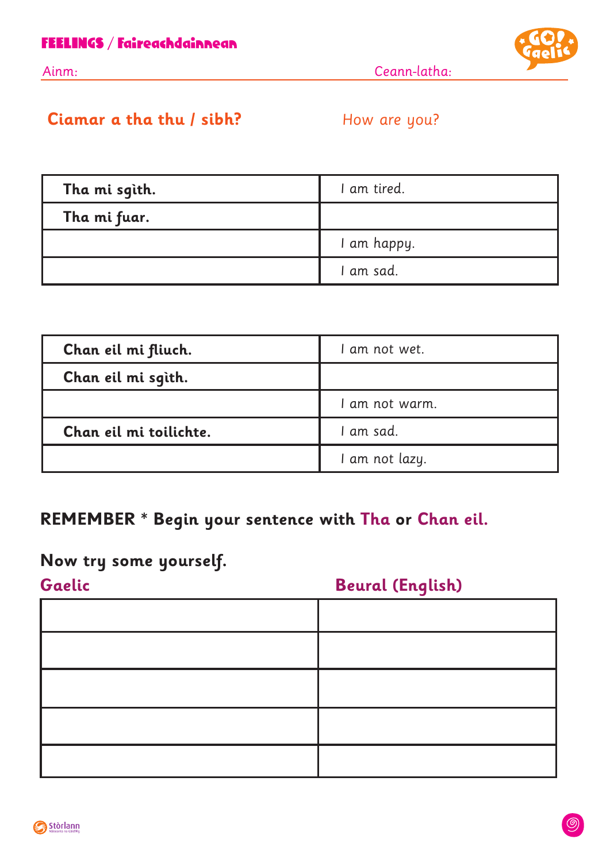

Ainm: Ceann-latha:

### **Ciamar a tha thu / sibh?** How are you?

| Tha mi sgìth. | I am tired. |
|---------------|-------------|
| Tha mi fuar.  |             |
|               | I am happy. |
|               | I am sad.   |

| Chan eil mi fliuch.    | I am not wet.  |
|------------------------|----------------|
| Chan eil mi sgìth.     |                |
|                        | I am not warm. |
| Chan eil mi toilichte. | I am sad.      |
|                        | I am not lazy. |

## **REMEMBER \* Begin your sentence with Tha or Chan eil.**

# **Now try some yourself.**

# **Gaelic Beural (English)**

| <u> 2000 - Andrea Andrew Amerikaanse kommunister († 2001)</u><br><u> Linda a Carl Carl Communication and the Carl Carl Communication and the Carl Communication and the Carl Communication and the Carl Communication and the Carl Communication and the Carl Communication and the Carl Communic</u> | ______ |
|-------------------------------------------------------------------------------------------------------------------------------------------------------------------------------------------------------------------------------------------------------------------------------------------------------|--------|
|                                                                                                                                                                                                                                                                                                       |        |
|                                                                                                                                                                                                                                                                                                       |        |
|                                                                                                                                                                                                                                                                                                       |        |
|                                                                                                                                                                                                                                                                                                       |        |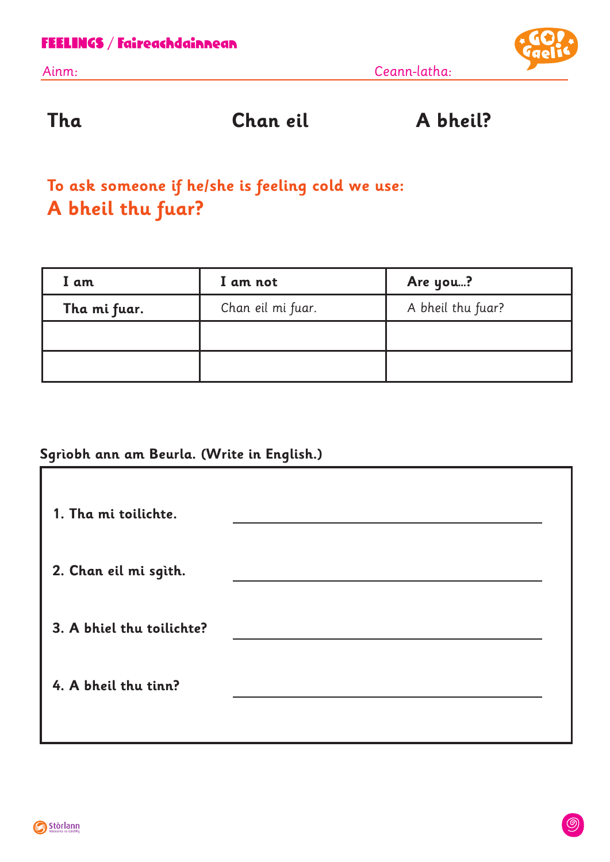

**Tha Chan eil A bheil?**

# **To ask someone if he/she is feeling cold we use: A bheil thu fuar?**

| I am         | I am not          | Are you?          |
|--------------|-------------------|-------------------|
| Tha mi fuar. | Chan eil mi fuar. | A bheil thu fuar? |
|              |                   |                   |
|              |                   |                   |

#### **Sgrìobh ann am Beurla. (Write in English.)**

| 1. Tha mi toilichte.      |  |
|---------------------------|--|
| 2. Chan eil mi sgìth.     |  |
| 3. A bhiel thu toilichte? |  |
| 4. A bheil thu tinn?      |  |
|                           |  |